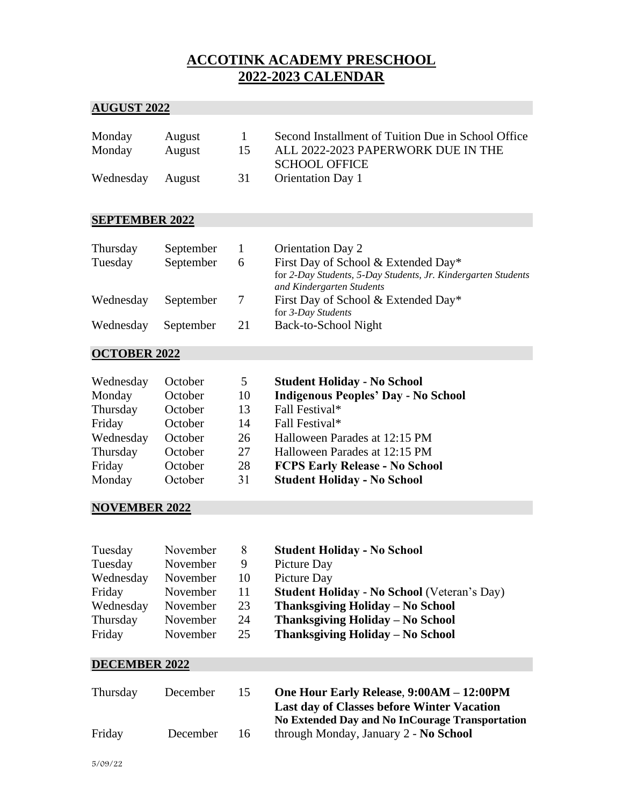## **ACCOTINK ACADEMY PRESCHOOL 2022-2023 CALENDAR**

## **AUGUST 2022**

| Monday           | August | $\mathbf{I}$ | Second Installment of Tuition Due in School Office |
|------------------|--------|--------------|----------------------------------------------------|
| Monday           | August | 15.          | ALL 2022-2023 PAPERWORK DUE IN THE                 |
|                  |        |              | <b>SCHOOL OFFICE</b>                               |
| Wednesday August |        | - 31 -       | <b>Orientation Day 1</b>                           |

#### **SEPTEMBER 2022**

| Thursday  | September |    | <b>Orientation Day 2</b>                                                                   |
|-----------|-----------|----|--------------------------------------------------------------------------------------------|
| Tuesday   | September | 6. | First Day of School & Extended Day*                                                        |
|           |           |    | for 2-Day Students, 5-Day Students, Jr. Kindergarten Students<br>and Kindergarten Students |
| Wednesday | September | 7  | First Day of School & Extended Day*<br>for 3-Day Students                                  |
| Wednesday | September | 21 | Back-to-School Night                                                                       |

### **OCTOBER 2022**

| Wednesday | October | 5  | <b>Student Holiday - No School</b>         |
|-----------|---------|----|--------------------------------------------|
| Monday    | October | 10 | <b>Indigenous Peoples' Day - No School</b> |
| Thursday  | October | 13 | Fall Festival*                             |
| Friday    | October | 14 | Fall Festival*                             |
| Wednesday | October | 26 | Halloween Parades at 12:15 PM              |
| Thursday  | October | 27 | Halloween Parades at 12:15 PM              |
| Friday    | October | 28 | <b>FCPS Early Release - No School</b>      |
| Monday    | October | 31 | <b>Student Holiday - No School</b>         |

### **NOVEMBER 2022**

| Tuesday   | November | 8   | <b>Student Holiday - No School</b>                 |
|-----------|----------|-----|----------------------------------------------------|
| Tuesday   | November | 9   | Picture Day                                        |
| Wednesday | November | 10  | Picture Day                                        |
| Friday    | November | 11  | <b>Student Holiday - No School</b> (Veteran's Day) |
| Wednesday | November | 23  | Thanksgiving Holiday – No School                   |
| Thursday  | November | 24  | Thanksgiving Holiday – No School                   |
| Friday    | November | 25. | Thanksgiving Holiday – No School                   |
|           |          |     |                                                    |

#### **DECEMBER 2022**

| Thursday | December | 15 | One Hour Early Release, 9:00AM - 12:00PM          |
|----------|----------|----|---------------------------------------------------|
|          |          |    | <b>Last day of Classes before Winter Vacation</b> |
|          |          |    | No Extended Day and No InCourage Transportation   |
| Friday   | December | 16 | through Monday, January 2 - No School             |